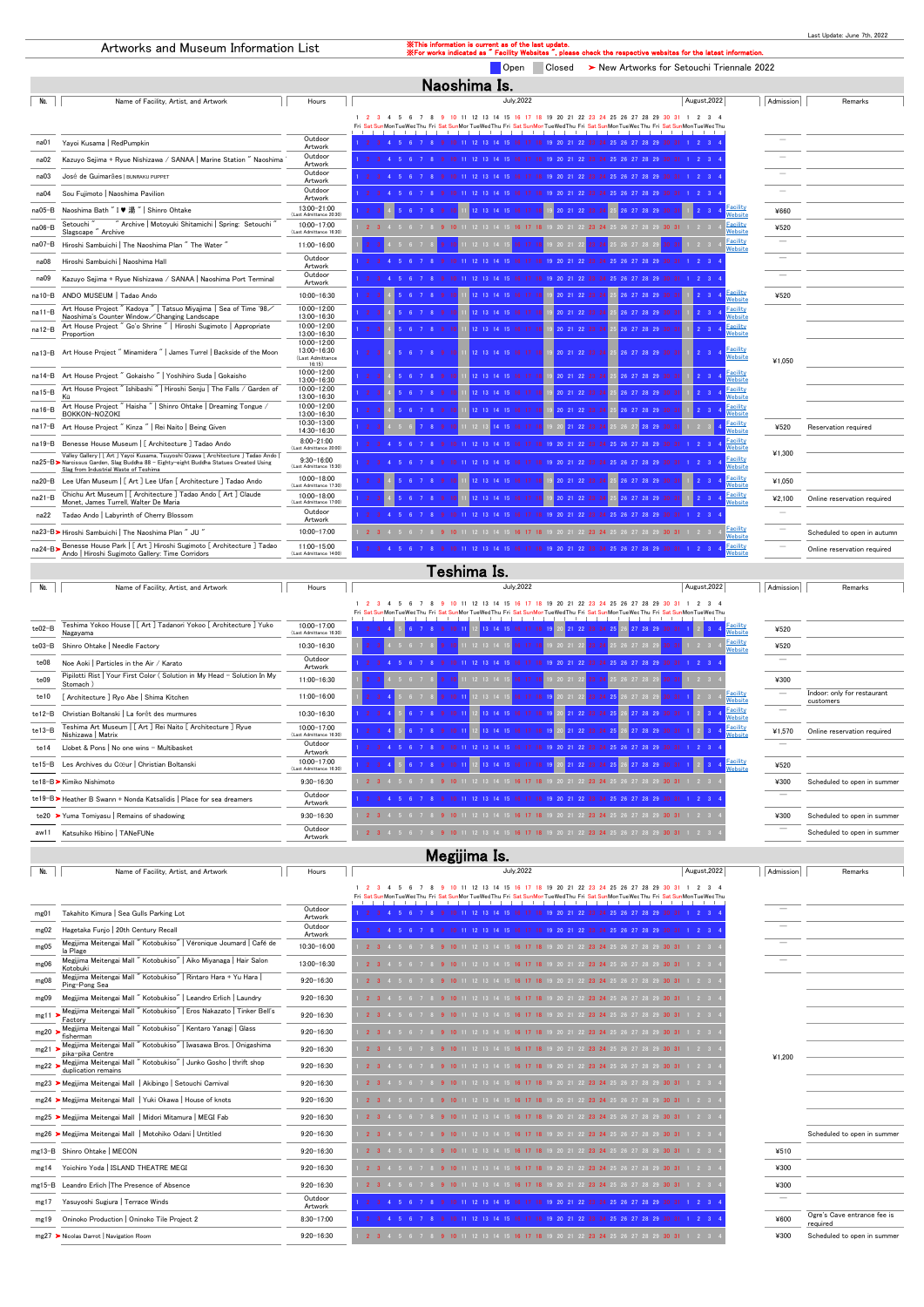|        |                                                                                                                                                                                                                           |                                                          |                                                                                                  |           | Last Update: June 7th, 2022 |  |  |  |
|--------|---------------------------------------------------------------------------------------------------------------------------------------------------------------------------------------------------------------------------|----------------------------------------------------------|--------------------------------------------------------------------------------------------------|-----------|-----------------------------|--|--|--|
|        | <b>XXThis information is current as of the last update.</b><br>Artworks and Museum Information List<br>X For works indicated as " Facility Websites ", please check the respective websites for the latest information.   |                                                          |                                                                                                  |           |                             |  |  |  |
|        | Closed > New Artworks for Setouchi Triennale 2022<br><b>O</b> pen                                                                                                                                                         |                                                          |                                                                                                  |           |                             |  |  |  |
|        | Naoshima Is.                                                                                                                                                                                                              |                                                          |                                                                                                  |           |                             |  |  |  |
| No.    | Name of Facility, Artist, and Artwork                                                                                                                                                                                     | Hours                                                    | <b>July, 2022</b><br>August, 2022                                                                | Admission | Remarks                     |  |  |  |
|        | 1 2 3 4 5 6 7 8<br>9 10 11 12 13 14 15 16 17 18 19 20 21 22 23 24 25 26 27 28 29 30 31 1 2 3 4<br>Fri Sat SunMonTueWedThu Fri Sat SunMorTueWedThu Fri Sat SunMonTueWedThu Fri Sat SunMorTueWedThu Fri Sat SunMonTueWedThu |                                                          |                                                                                                  |           |                             |  |  |  |
| na01   | Yayoi Kusama   RedPumpkin                                                                                                                                                                                                 | Outdoor                                                  | 10 11 12 13 14 15 16 17 18 19 20 21 22 23 24 25 26 27 28 29                                      |           |                             |  |  |  |
|        |                                                                                                                                                                                                                           | Artwork<br>Outdoor                                       |                                                                                                  |           |                             |  |  |  |
| na02   | Kazuyo Sejima + Ryue Nishizawa / SANAA   Marine Station " Naoshima                                                                                                                                                        | Artwork<br>Outdoor                                       |                                                                                                  |           |                             |  |  |  |
| na03   | José de Guimarães   BUNRAKU PUPPET                                                                                                                                                                                        | Artwork                                                  |                                                                                                  |           |                             |  |  |  |
| na04   | Sou Fujimoto   Naoshima Pavilion                                                                                                                                                                                          | Outdoor<br>Artwork                                       |                                                                                                  |           |                             |  |  |  |
| na05-B | Naoshima Bath " I ♥ 湯 "   Shinro Ohtake                                                                                                                                                                                   | 13:00-21:00<br>(Last Admittance 20:30)                   | Facility<br>Vebsite                                                                              | ¥660      |                             |  |  |  |
| na06-B | Archive   Motoyuki Shitamichi   Spring: Setouchi<br>Setouchi<br>Slagscape "Archive                                                                                                                                        | 10:00-17:00<br>(Last Admittance 16:30)                   | Facility<br>20 21 22 23 24<br>16 17 18<br><b>Nebsite</b>                                         | ¥520      |                             |  |  |  |
| na07-B | Hiroshi Sambuichi   The Naoshima Plan "The Water "                                                                                                                                                                        | 11:00-16:00                                              | Facility<br>Website                                                                              |           |                             |  |  |  |
| na08   | Hiroshi Sambuichi   Naoshima Hall                                                                                                                                                                                         | Outdoor<br>Artwork                                       |                                                                                                  |           |                             |  |  |  |
| na09   | Kazuyo Sejima + Ryue Nishizawa / SANAA   Naoshima Port Terminal                                                                                                                                                           | Outdoor<br>Artwork                                       |                                                                                                  |           |                             |  |  |  |
| na10-B | ANDO MUSEUM   Tadao Ando                                                                                                                                                                                                  | 10:00-16:30                                              | Facility<br>Vebsite                                                                              | ¥520      |                             |  |  |  |
| na11-B | Art House Project "Kadoya "   Tatsuo Miyajima   Sea of Time '98∕<br>Naoshima's Counter Window / Changing Landscape                                                                                                        | 10:00-12:00<br>13:00-16:30                               | Facility<br>2 13 14 15 16 17<br>20 21 22 23<br>26 27 28 29<br>Vebsite                            |           |                             |  |  |  |
| na12-B | Art House Project " Go'o Shrine "   Hiroshi Sugimoto   Appropriate<br>Proportion                                                                                                                                          | 10:00-12:00<br>13:00-16:30                               | <b>Facility</b><br>2 13 14 15 16 17<br>20 21 22 23<br>26 27 28 29<br>Vebsite                     |           |                             |  |  |  |
| na13-B | Art House Project" Minamidera"   James Turrel   Backside of the Moon                                                                                                                                                      | 10:00-12:00<br>13:00-16:30<br>(Last Admittance<br>16:15) | <u>-acility</u><br>20 21 22<br>Vebsite                                                           | ¥1.050    |                             |  |  |  |
| na14-B | Art House Project " Gokaisho "   Yoshihiro Suda   Gokaisho                                                                                                                                                                | 10:00-12:00<br>13:00-16:30                               | Facility<br>2 13 14 15 16 17<br>26 27 28 29 30<br>Vebsite                                        |           |                             |  |  |  |
| na15-B | Art House Project " Ishibashi "   Hiroshi Senju   The Falls / Garden of<br>Kū                                                                                                                                             | 10:00-12:00<br>13:00-16:30                               | acility <sup>:</sup><br>12 13 14 15 16<br>20, 21, 22<br>26 27 28 29<br>Vebsite                   |           |                             |  |  |  |
| na16-B | Art House Project " Haisha "   Shinro Ohtake   Dreaming Tongue /<br>BOKKON-NOZOKI                                                                                                                                         | 10:00-12:00<br>13:00-16:30                               | Facility<br>12 13 14 15 16<br>20 21 22 23<br>26 27 28 29<br>Vebsite                              |           |                             |  |  |  |
| na17-B | Art House Project "Kinza "   Rei Naito   Being Given                                                                                                                                                                      | 10:30-13:00<br>14:30-16:30                               | <u>Facility</u><br>Nebsite<br>14 15 16 17<br>21, 22, 23                                          | ¥520      | Reservation required        |  |  |  |
| na19-B | Benesse House Museum   [ Architecture ] Tadao Ando                                                                                                                                                                        | $8:00 - 21:00$<br>(Last Admittance 20:00)                | Facility<br>Vebsite                                                                              |           |                             |  |  |  |
|        | Valley Gallery   [ Art ] Yayoi Kusama, Tsuyoshi Ozawa [ Architecture ] Tadao Ando<br>na25-B> Narcissus Garden, Slag Buddha 88 - Eighty-eight Buddha Statues Created Using<br>Slag from Industrial Waste of Teshima        | $9:30 - 16:00$<br>(Last Admittance 15:30)                | Facility<br><u>Nebsite</u>                                                                       | ¥1,300    |                             |  |  |  |
| na20-B | Lee Ufan Museum   [ Art ] Lee Ufan [ Architecture ] Tadao Ando                                                                                                                                                            | 10:00-18:00<br>(Last Admittance 17:30)                   | Facility<br>12 13 14 15<br>26 27 28 29<br>20 21 22 23<br>Vebsite                                 | ¥1,050    |                             |  |  |  |
| na21-B | Chichu Art Museum   [ Architecture ] Tadao Ando [ Art ] Claude<br>Monet, James Turrell, Walter De Maria                                                                                                                   | 10:00-18:00<br>(Last Admittance 17:00)                   | Facility<br>12 13 14 15 16<br>20 21 22<br>A 27 28 29<br>Vebsite                                  | ¥2,100    | Online reservation required |  |  |  |
| na22   | Tadao Ando   Labyrinth of Cherry Blossom                                                                                                                                                                                  | Outdoor<br>Artwork                                       |                                                                                                  |           |                             |  |  |  |
|        | na23-B> Hiroshi Sambuichi   The Naoshima Plan " JU "                                                                                                                                                                      | 10:00-17:00                                              | <u>Facility</u><br>9 20 21 22 23 24 25 26 27 28 29 30 31 1 2 3<br>12 13 14 15 16 17 18<br>Vebsit |           | Scheduled to open in autumn |  |  |  |
|        | na24-B> Benesse House Park   [ Art ] Hiroshi Sugimoto [ Architecture ] Tadao<br>Ando   Hiroshi Sugimoto Gallery: Time Corridors                                                                                           | 11:00-15:00<br>(Last Admittance 14:00)                   | Facility<br>Vebsit                                                                               |           | Online reservation required |  |  |  |

| No.      | Name of Facility, Artist, and Artwork                                               | Hours                                  | August, 2022<br><b>July, 2022</b>                                                                                  | Admission                            | Remarks                                  |  |  |  |  |
|----------|-------------------------------------------------------------------------------------|----------------------------------------|--------------------------------------------------------------------------------------------------------------------|--------------------------------------|------------------------------------------|--|--|--|--|
|          |                                                                                     |                                        | 22 23 24 25 26 27 28 29<br>12 13 14 15 16<br>19 20 21                                                              |                                      |                                          |  |  |  |  |
|          |                                                                                     |                                        | TueWed Thu Fri Sat SunMor TueWed Thu Fri Sat SunMon TueWed Thu Fri Sat SunMor TueWed Thu Fri Sat SunMon TueWed Thu |                                      |                                          |  |  |  |  |
| $te02-B$ | Teshima Yokoo House   [ Art ] Tadanori Yokoo [ Architecture ] Yuko<br>Nagayama      | 10:00-17:00<br>(Last Admittance 16:30) | 21 22                                                                                                              | Facility<br>Website<br>¥520          |                                          |  |  |  |  |
| te03-B   | Shinro Ohtake   Needle Factory                                                      | 10:30-16:30                            |                                                                                                                    | Facility<br>Website<br>¥520          |                                          |  |  |  |  |
| te08     | Noe Aoki   Particles in the Air / Karato                                            | Outdoor<br>Artwork                     |                                                                                                                    | $\sim$                               |                                          |  |  |  |  |
| te09     | Pipilotti Rist   Your First Color (Solution in My Head - Solution In My<br>Stomach) | 11:00-16:30                            | 16 17 18 19 20 21 22<br>24 25 26 27 28 29<br>$12$ 13 14 15<br>$2 \quad 3$                                          | ¥300                                 |                                          |  |  |  |  |
| te10     | Architecture ] Ryo Abe   Shima Kitchen                                              | 11:00-16:00                            | 16 17 18 19 20 21 22<br>23 24 25 26 27 28 29<br>$10 \t11$<br>$30 \t31 \t1$<br>$\overline{\phantom{a}}$             | <b>Facility</b><br>Website           | Indoor: only for restaurant<br>customers |  |  |  |  |
| te12-B   | Christian Boltanski   La forêt des murmures                                         | 10:30-16:30                            | 21 22 23 24 25 26 27 28 29 30 31                                                                                   | Facility<br>Website                  |                                          |  |  |  |  |
| te13-B   | Teshima Art Museum   [ Art ] Rei Naito [ Architecture ] Ryue<br>Nishizawa   Matrix  | 10:00-17:00<br>(Last Admittance 16:30) | 22 23 24 25 26<br>27 28 29                                                                                         | <b>Facility</b><br>Website<br>¥1,570 | Online reservation required              |  |  |  |  |
| te14     | Llobet & Pons   No one wins - Multibasket                                           | Outdoor<br>Artwork                     |                                                                                                                    |                                      |                                          |  |  |  |  |
| $te15-B$ | Les Archives du Cœur   Christian Boltanski                                          | 10:00-17:00<br>(Last Admittance 16:30) | 21 22 23 24 25 26<br>13 14 15 16<br>27 28 29 30                                                                    | <b>Facility</b><br>Website<br>¥520   |                                          |  |  |  |  |
|          | te18-B > Kimiko Nishimoto                                                           | $9:30 - 16:30$                         | 10 11 12 13 14 15 16 17 18 19 20 21 22 23 24 25 26 27 28 29 30 31 1 2 3                                            | ¥300                                 | Scheduled to open in summer              |  |  |  |  |
|          | te19-B>Heather B Swann + Nonda Katsalidis   Place for sea dreamers                  | Outdoor<br>Artwork                     | 19 20 21 22 23 24 25 26 27 28 29                                                                                   | -                                    |                                          |  |  |  |  |
|          | te20 > Yuma Tomiyasu   Remains of shadowing                                         | $9:30 - 16:30$                         | 12 13 14 15 16 17 18 19 20 21 22 23 24 25 26 27 28 29 30 31 1 2 3                                                  | ¥300                                 | Scheduled to open in summer              |  |  |  |  |
| aw1:     | Katsuhiko Hibino   TANeFUNe                                                         | Outdoor<br>Artwork                     | 12 13 14 15 16 17 18 19 20 21 22 23 24 25 26 27 28 29 30 31 1 2 3<br>2 3 4 5 6 7 8                                 |                                      | Scheduled to open in summer              |  |  |  |  |
|          | Megijima Is.                                                                        |                                        |                                                                                                                    |                                      |                                          |  |  |  |  |

#### ● No. | No. | Name of Facility, Artist, and Artwork November 2002 November 2008 November 2009 November 2009 November 2009 November 2009 November 2009 November 2009 November 2009 November 2009 November 2009 November 2009 N 1 2 3 4 5 6 7 8 9 10 11 12 13 14 15 16 17 18 19 20 21 22 23 24 25 26 27 28 29 30 31 1 2 3 4 Fri Sat SunMonTueWedThu Fri Sat SunMorTueWedThu Fri Sat SunMonTueWedThu Fri Sat SunMorTueWedThu Fri Sat SunMonTueWedThu mg01 Takahito Kimura | Sea Gulls Parking Lot **Outdoor** Outdoor Artwork <sup>1</sup> <sup>2</sup> <sup>3</sup> <sup>4</sup> <sup>5</sup> <sup>6</sup> <sup>7</sup> <sup>8</sup> <sup>9</sup> <sup>10</sup> <sup>11</sup> <sup>12</sup> <sup>13</sup> <sup>14</sup> <sup>15</sup> <sup>16</sup> <sup>17</sup> <sup>18</sup> <sup>19</sup> <sup>20</sup> <sup>21</sup> <sup>22</sup> <sup>23</sup> <sup>24</sup> <sup>25</sup> <sup>26</sup> <sup>27</sup> <sup>28</sup> <sup>29</sup> <sup>30</sup> <sup>31</sup> <sup>1</sup> <sup>2</sup> <sup>3</sup> <sup>4</sup> ̄ mg02 Hagetaka Funjo | 20th Century Recall **Outdoor** Outdoor 1 2 3 4 5 6 7 8 9 10 11 12 13 14 15 16 17 18 19 20 21 22 23 24 25 26 27 28 29 30 31 1 2 3 4 mg05 Megijima Meitengai Mall " Kotobukiso" | Véronique Joumard | Café de la Plage 10:30-16:00 <sup>1</sup> <sup>2</sup> <sup>3</sup> <sup>4</sup> <sup>5</sup> <sup>6</sup> <sup>7</sup> <sup>8</sup> <sup>9</sup> <sup>10</sup> <sup>11</sup> <sup>12</sup> <sup>13</sup> <sup>14</sup> <sup>15</sup> <sup>16</sup> <sup>17</sup> <sup>18</sup> <sup>19</sup> <sup>20</sup> <sup>21</sup> <sup>22</sup> <sup>23</sup> <sup>24</sup> <sup>25</sup> <sup>26</sup> <sup>27</sup> <sup>28</sup> <sup>29</sup> <sup>30</sup> <sup>31</sup> <sup>1</sup> <sup>2</sup> <sup>3</sup> <sup>4</sup> ̄ mg06 Megijima Meitengai Mall " Kotobukiso" | Aiko Miyanaga | Hair Salon 13:00-16:30 1 2 3 4 5 6 7 8 9 10 11 12 13 14 15 16 17 18 19 20 21 22 23 24 25 26 27 28 29 30 31 1 2 3 4 mg08 Megjima Meitengai Mall " Kotobukiso" | Rintaro Hara + Yu Hara |<br>| Megjima Meitengai Mall " Kotobukiso" | Rintaro Hara + Yu Hara | **9:20-16:30** 1 2 3 4 5 6 7 8 9 10 11 12 13 14 15 16 17 18 19 20 21 22 23 24 25 26 27 28 29  $\sqrt{$  August,2022 $\sqrt{ }$

| mg09     | Megijima Meitengai Mall "Kotobukiso"   Leandro Erlich   Laundry                          | $9:20 - 16:30$     | 11 12 13 14 15 16 17 18 19 20 21 22 23 24 25 26 27 28 29 30 31 1 2 3                    |        |                                         |
|----------|------------------------------------------------------------------------------------------|--------------------|-----------------------------------------------------------------------------------------|--------|-----------------------------------------|
| $mg11$ > | Megijima Meitengai Mall " Kotobukiso"   Eros Nakazato   Tinker Bell's<br>Factory         | $9:20 - 16:30$     | 2 3 4 5 6 7 8 9 10 11 12 13 14 15 16 17 18 19 20 21 22 23 24 25 26 27 28 29 30 31 1 2 3 |        |                                         |
| mg20     | Megijima Meitengai Mall "Kotobukiso"   Kentaro Yanagi   Glass<br>fisherman               | $9:20 - 16:30$     | 11 12 13 14 15 16 17 18 19 20 21 22 23 24 25 26 27 28 29 30 31 1 2 3                    |        |                                         |
| mg21     | Megijima Meitengai Mall "Kotobukiso"   Iwasawa Bros.   Onigashima<br>pika-pika Centre    | $9:20 - 16:30$     | 2 3 4 5 6 7 8 9 10 11 12 13 14 15 16 17 18 19 20 21 22 23 24 25 26 27 28 29 30 31 1 2 3 | ¥1,200 |                                         |
| $mg22$ ) | Megijima Meitengai Mall " Kotobukiso"   Junko Gosho   thrift shop<br>duplication remains | $9:20 - 16:30$     | 9 10 11 12 13 14 15 16 17 18 19 20 21 22 23 24 25 26 27 28 29 30 31 1 2 3               |        |                                         |
|          | mg23 ▶ Megijima Meitengai Mall   Akibingo   Setouchi Carnival                            | $9:20 - 16:30$     | 2 3 4 5 6 7 8 9 10 11 12 13 14 15 16 17 18 19 20 21 22 23 24 25 26 27 28 29 30 31 1 2 3 |        |                                         |
|          | mg24 > Megijima Meitengai Mall   Yuki Okawa   House of knots                             | $9:20 - 16:30$     | 9 10 11 12 13 14 15 16 17 18 19 20 21 22 23 24 25 26 27 28 29 30 31 1 2 3               |        |                                         |
|          | mg25 > Megijima Meitengai Mall   Midori Mitamura   MEGI Fab                              | $9:20 - 16:30$     | 2 3 4 5 6 7 8 9 10 11 12 13 14 15 16 17 18 19 20 21 22 23 24 25 26 27 28 29 30 31 1 2 3 |        |                                         |
|          | mg26 > Megijima Meitengai Mall   Motohiko Odani   Untitled                               | $9:20 - 16:30$     | 9 10 11 12 13 14 15 16 17 18 19 20 21 22 23 24 25 26 27 28 29 30 31 1 2 3               |        | Scheduled to open in summer             |
|          | mg13-B Shinro Ohtake   MECON                                                             | $9:20 - 16:30$     | 2 3 4 5 6 7 8 9 10 11 12 13 14 15 16 17 18 19 20 21 22 23 24 25 26 27 28 29 30 31 1 2 3 | ¥510   |                                         |
| mg14     | Yoichiro Yoda   ISLAND THEATRE MEGI                                                      | $9:20 - 16:30$     | 9 10 11 12 13 14 15 16 17 18 19 20 21 22 23 24 25 26 27 28 29 30 31 1 2 3               | ¥300   |                                         |
|          | mg15-B Leandro Erlich The Presence of Absence                                            | $9:20 - 16:30$     | 2 3 4 5 6 7 8 9 10 11 12 13 14 15 16 17 18 19 20 21 22 23 24 25 26 27 28 29 30 31 1 2 3 | ¥300   |                                         |
| mg17     | Yasuyoshi Sugiura   Terrace Winds                                                        | Outdoor<br>Artwork | 17 18 19 20 21 22 23 24 25 26 27 28 29                                                  |        |                                         |
| mg19     | Oninoko Production   Oninoko Tile Project 2                                              | 8:30-17:00         | 10 11 12 13 14 15 16 17 18 19 20 21 22 23 24 25 26 27 28 29 30 31 1 2 3                 | ¥600   | Ogre's Cave entrance fee is<br>reauired |
|          | mg27 > Nicolas Darrot   Navigation Room                                                  | $9:20 - 16:30$     | 12 13 14 15 <b>16 17 18</b> 19 20 21 22 <b>23 24</b> 25 26 27 28 29 <b>30 31</b> 1 2 3  | ¥300   | Scheduled to open in summer             |

## Teshima Is.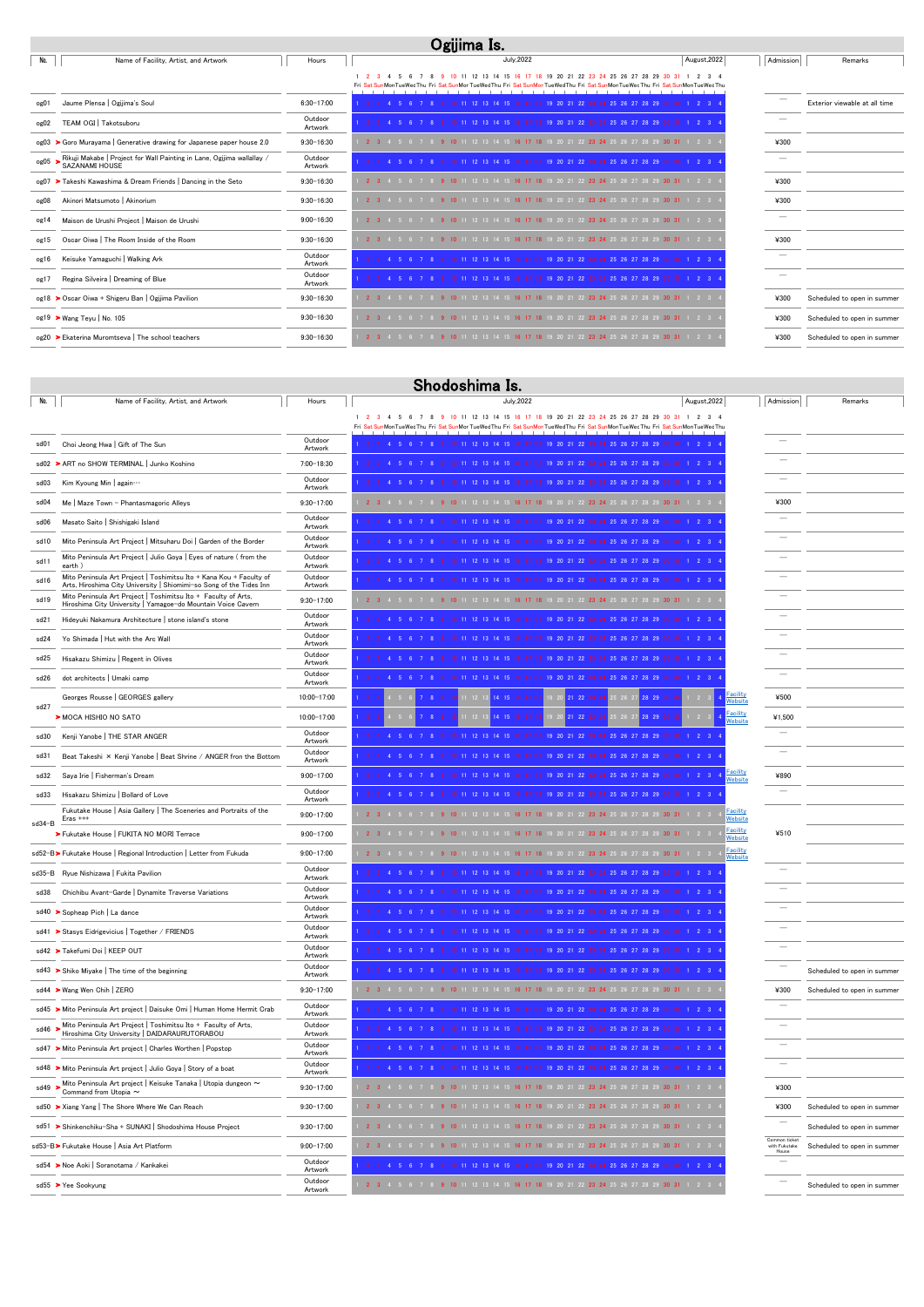|      | Ogijima Is.                                                                                          |                    |                                                                                                                                                                                              |              |           |                               |  |  |  |
|------|------------------------------------------------------------------------------------------------------|--------------------|----------------------------------------------------------------------------------------------------------------------------------------------------------------------------------------------|--------------|-----------|-------------------------------|--|--|--|
| No.  | Name of Facility, Artist, and Artwork                                                                | Hours              | <b>July</b> , 2022                                                                                                                                                                           | August, 2022 | Admission | Remarks                       |  |  |  |
|      |                                                                                                      |                    | 10 11 12 13 14 15 16 17 18 19 20 21 22 23 24 25 26 27 28 29 30 31<br>Fri Sat SunMonTueWedThu Fri Sat SunMorTueWedThu Fri Sat SunMonTueWedThu Fri Sat SunMorTueWedThu Fri Sat SunMonTueWedThu |              |           |                               |  |  |  |
| og01 | Jaume Plensa   Ogijima's Soul                                                                        | $6:30 - 17:00$     | 19 20 21 22 23 24 25 26 27 28 29                                                                                                                                                             |              |           | Exterior viewable at all time |  |  |  |
| og02 | TEAM OGI   Takotsuboru                                                                               | Outdoor<br>Artwork | 2 3 4 5 6 7 8 9 10 11 12 13 14 15 16 17 18 19 20 21 22 23 24 25 26 27 28 29 30 31 1 2 3 4                                                                                                    |              |           |                               |  |  |  |
|      | $og03$ $\triangleright$ Goro Murayama   Generative drawing for Japanese paper house 2.0              | $9:30 - 16:30$     | 2 3 4 5 6 7 8 9 10 11 12 13 14 15 16 17 18 19 20 21 22 23 24 25 26 27 28 29 30 31 1 2 3                                                                                                      |              | ¥300      |                               |  |  |  |
|      | $\log 05$ > Rikuji Makabe   Project for Wall Painting in Lane, Ogijima wallallay /<br>SAZANAMI HOUSE | Outdoor<br>Artwork | 10 11 12 13 14 15 16 17 18 19 20 21 22 23 24 25 26 27 28 29 30 31                                                                                                                            |              |           |                               |  |  |  |
|      | og07 > Takeshi Kawashima & Dream Friends   Dancing in the Seto                                       | $9:30 - 16:30$     | 2 3 4 5 6 7 8 9 10 11 12 13 14 15 16 17 18 19 20 21 22 23 24 25 26 27 28 29 30 31 1 2 3                                                                                                      |              | ¥300      |                               |  |  |  |
| og08 | Akinori Matsumoto   Akinorium                                                                        | $9:30 - 16:30$     | 9 10 11 12 13 14 15 16 17 18 19 20 21 22 23 24 25 26 27 28 29 30 31 1 2 3<br>2 3 4 5 6                                                                                                       |              | ¥300      |                               |  |  |  |
| og14 | Maison de Urushi Project   Maison de Urushi                                                          | $9:00 - 16:30$     | <b>2</b> 3 4 5 6 7 8 9 10 11 12 13 14 15 16 17 18 19 20 21 22 23 24 25 26 27 28 29 30 31 1 2 3                                                                                               |              |           |                               |  |  |  |
| og15 | Oscar Oiwa   The Room Inside of the Room                                                             | $9:30 - 16:30$     | 2 3 4 5 6 7 8 9 10 11 12 13 14 15 16 17 18 19 20 21 22 23 24 25 26 27 28 29 30 31 1 2 3                                                                                                      |              | ¥300      |                               |  |  |  |
| og16 | Keisuke Yamaguchi   Walking Ark                                                                      | Outdoor<br>Artwork | 10 11 12 13 14 15 16 17 18 19 20 21 22 23 24 25 26 27 28 29 30 31 1 2 3 4                                                                                                                    |              |           |                               |  |  |  |
| og17 | Regina Silveira   Dreaming of Blue                                                                   | Outdoor<br>Artwork | 10 11 12 13 14 15 16 17 18 19 20 21 22 23 24 25 26 27 28 29 30 31 1 2 3                                                                                                                      |              |           |                               |  |  |  |
|      | og18 > Oscar Oiwa + Shigeru Ban   Ogijima Pavilion                                                   | $9:30 - 16:30$     | 9 10 11 12 13 14 15 16 17 18 19 20 21 22 23 24 25 26 27 28 29 30 31 1 2 3                                                                                                                    |              | ¥300      | Scheduled to open in summer   |  |  |  |
|      | og19 > Wang Teyu   No. 105                                                                           | $9:30 - 16:30$     | i 7 8 <b>9 10</b> 11 12 13 14 15 <b>16 17 18</b> 19 20 21 22 <b>23 24</b> 25 26 27 28 29 <b>30 31</b> 1 2 3                                                                                  |              | ¥300      | Scheduled to open in summer   |  |  |  |
|      | og20 ▶ Ekaterina Muromtseva   The school teachers                                                    | $9:30 - 16:30$     | 2 3 4 5 6 7 8 9 10 11 12 13 14 15 16 17 18 19 20 21 22 23 24 25 26 27 28 29 30 31 1 2 3                                                                                                      |              | ¥300      | Scheduled to open in summer   |  |  |  |

| No.    | Name of Facility, Artist, and Artwork                                                                                                      | Hours              | <b>July, 2022</b>                                                                                                                                                                                                         | August, 2022               | Admission                | Remarks                     |
|--------|--------------------------------------------------------------------------------------------------------------------------------------------|--------------------|---------------------------------------------------------------------------------------------------------------------------------------------------------------------------------------------------------------------------|----------------------------|--------------------------|-----------------------------|
|        |                                                                                                                                            |                    | 6 7 8 9 10 11 12 13 14 15 16 17 18 19 20 21 22 23 24 25 26 27 28 29 30 31 1 2 3 4<br>1 2 3 4 5<br>Fri Sat SunMonTueWedThu Fri Sat SunMorTueWedThu Fri Sat SunMonTueWedThu Fri Sat SunMonTueWedThu Fri Sat SunMonTueWedThu |                            |                          |                             |
| sd01   | Choi Jeong Hwa   Gift of The Sun                                                                                                           | Outdoor<br>Artwork | 10 11 12 13 14 15 16 17 18 19 20 21 22 23 24 25 26 27 28 29 30 31 1 2 3                                                                                                                                                   |                            |                          |                             |
|        | sd02 > ART no SHOW TERMINAL Junko Koshino                                                                                                  | $7:00 - 18:30$     | 1 2 3 4 5 6 7<br>18 19 20 21 22 23 24 25 26 27 28 29 30                                                                                                                                                                   | 123                        |                          |                             |
| sd03   | Kim Kyoung Min   again                                                                                                                     | Outdoor<br>Artwork | 1 2 3 4 5 6 7 8 9<br>10 11 12 13 14 15 16 17 18 19 20 21 22 23 24 25 26 27 28 29 30 31 1 2 3                                                                                                                              |                            |                          |                             |
| sd04   | Me   Maze Town - Phantasmagoric Alleys                                                                                                     | $9:30 - 17:00$     | 2 3 4 5 6 7 8 9 10 11 12 13 14 15 16 17 18 19 20 21 22 23 24 25 26 27 28 29 30 31 1 2 3                                                                                                                                   |                            | ¥300                     |                             |
| sd06   | Masato Saito   Shishigaki Island                                                                                                           | Outdoor<br>Artwork | 10 11 12 13 14 15 16 17 18 19 20 21 22 23 24 25 26 27 28 29 30 31 1 2 3<br>2 3 4 5 6 7 8 9                                                                                                                                |                            |                          |                             |
| sd10   | Mito Peninsula Art Project   Mitsuharu Doi   Garden of the Border                                                                          | Outdoor<br>Artwork |                                                                                                                                                                                                                           |                            |                          |                             |
| sd11   | Mito Peninsula Art Project   Julio Goya   Eyes of nature (from the<br>earth)                                                               | Outdoor<br>Artwork | 17 18 19 20 21 22 23 24 25 26 27 28 29 30                                                                                                                                                                                 |                            |                          |                             |
| sd16   | Mito Peninsula Art Project   Toshimitsu Ito + Kana Kou + Faculty of<br>Arts, Hiroshima City University   Shiomimi-so Song of the Tides Inn | Outdoor<br>Artwork |                                                                                                                                                                                                                           |                            |                          |                             |
| sd19   | Mito Peninsula Art Project   Toshimitsu Ito + Faculty of Arts,<br>Hiroshima City University   Yamagoe-do Mountain Voice Cavern             | $9:30 - 17:00$     | 2 3 4 5 6 7<br>10 11 12 13 14 15 16 17 18 19 20 21 22 23 24 25 26 27 28 29 30 31 1 2 3                                                                                                                                    |                            |                          |                             |
| sd21   | Hideyuki Nakamura Architecture   stone island's stone                                                                                      | Outdoor<br>Artwork | 17 18 19 20 21 22 23 24 25 26 27 28 29                                                                                                                                                                                    |                            |                          |                             |
| sd24   | Yo Shimada   Hut with the Arc Wall                                                                                                         | Outdoor<br>Artwork | 17 18 19 20 21 22 23 24 25 26 27 28 29<br>10 11 12 13 14 15 16                                                                                                                                                            |                            |                          |                             |
| sd25   | Hisakazu Shimizu   Regent in Olives                                                                                                        | Outdoor<br>Artwork | 18 19 20 21 22 23 24 25 26 27 28 29                                                                                                                                                                                       |                            |                          |                             |
| sd26   | dot architects   Umaki camp                                                                                                                | Outdoor<br>Artwork | 10 11 12 13 14 15 16 17 18 19 20 21 22 23 24 25 26 27 28 29 30 31 1 2 3                                                                                                                                                   |                            |                          |                             |
| sd27   | Georges Rousse   GEORGES gallery                                                                                                           | 10:00-17:00        | 11 12 13 14 15 16 17 18<br>19 20 21 22 23 24 25 26 27 28 29 30                                                                                                                                                            | <u>Facility</u><br>Website | ¥500                     |                             |
|        | > MOCA HISHIO NO SATO                                                                                                                      | 10:00-17:00        | 11 12 13 14 15 16 17 18 19 20 21 22 23 24 25 26 27 28 29 30                                                                                                                                                               | Facility<br>Website        | ¥1,500                   |                             |
| sd30   | Kenji Yanobe   THE STAR ANGER                                                                                                              | Outdoor<br>Artwork | 2 3 4 5 6 7 8 9 10 11 12 13 14 15 16 17 18 19 20 21 22 23 24 25 26 27 28 29 30 31 1 2 3                                                                                                                                   |                            |                          |                             |
| sd31   | Beat Takeshi × Kenji Yanobe   Beat Shrine / ANGER fron the Bottom                                                                          | Outdoor<br>Artwork | 2 3 4 5 6 7 8 9<br>10 11 12 13 14 15 16 17 18 19 20 21 22 23 24 25 26 27 28 29 30 31 1 2 3                                                                                                                                |                            |                          |                             |
| sd32   | Saya Irie   Fisherman's Dream                                                                                                              | $9:00 - 17:00$     | 1 2 3 4 5 6 7 8<br>17 18 19 20 21 22 23 24 25 26 27 28 29 30 31 1 2 3 4<br>10 11 12 13 14 15 16                                                                                                                           | <u>Facility</u><br>Website | ¥890                     |                             |
| sd33   | Hisakazu Shimizu   Bollard of Love                                                                                                         | Outdoor<br>Artwork | 2 3 4 5 6 7 8<br>10 11 12 13 14 15 16 17 18 19 20 21 22 23 24 25 26 27 28 29 30 31 1 2 3 4                                                                                                                                |                            | $\overline{\phantom{a}}$ |                             |
| sd34-B | Fukutake House   Asia Gallery   The Sceneries and Portraits of the<br>$Eras$ $++$                                                          | $9:00 - 17:00$     | 2 3 4 5 6 7 8 9 10 11 12 13 14 15 16 17 18 19 20 21 22 23 24 25 26 27 28 29 30 31 1 2 3                                                                                                                                   | Facility<br>Website        |                          |                             |
|        | > Fukutake House   FUKITA NO MORI Terrace                                                                                                  | $9:00 - 17:00$     | <b>2</b> 3 4 5 6 7 8 9 10 11 12 13 14 15 16 17 18 19 20 21 22 23 24 25 26 27 28 29 30 31 1 2 3                                                                                                                            | Facility<br>Website        | ¥510                     |                             |
|        | sd52-B> Fukutake House   Regional Introduction   Letter from Fukuda                                                                        | $9:00 - 17:00$     | 1 2 3 4 5 6 7 8 9 10 11 12 13 14 15 16 17 18 19 20 21 22 23 24 25 26 27 28 29 30 31 1 2 3                                                                                                                                 | Facility<br>Website        |                          |                             |
|        | sd35-B Ryue Nishizawa   Fukita Pavilion                                                                                                    | Outdoor<br>Artwork | 1   2   3   4   5   6   7   8   9   10   11   12   13   14   15   16   17   18   19   20   21   22   23   24   25   26   27   28   29   30   31   1   2   3   4                                                           |                            |                          |                             |
| sd38   | Chichibu Avant-Garde   Dynamite Traverse Variations                                                                                        | Outdoor<br>Artwork | 3 4 5 6 7 8 9 10 11 12 13 14 15 16 17 18 19 20 21 22 23 24 25 26 27 28 29 30 31                                                                                                                                           |                            |                          |                             |
|        | sd40 > Sopheap Pich   La dance                                                                                                             | Outdoor<br>Artwork | 10 11 12 13 14 15 16 17 18 19 20 21 22 23 24 25 26 27 28 29 30 31 1 2 3<br>1 2 3 4 5 6 7 8 9                                                                                                                              |                            |                          |                             |
|        | sd41 > Stasys Eidrigevicius   Together / FRIENDS                                                                                           | Outdoor<br>Artwork | 2 3 4 5 6 7 8 9<br>10 11 12 13 14 15 16 17 18 19 20 21 22 23 24 25 26 27 28 29 30 31 1 2 3 4                                                                                                                              |                            |                          |                             |
|        | sd42 > Takefumi Doi   KEEP OUT                                                                                                             | Outdoor<br>Artwork | 10 11 12 13 14 15 16 17 18 19 20 21 22 23 24 25 26 27 28 29 30 31 1 2 3 4<br>1 2 3 4 5 6 7 8 9                                                                                                                            |                            |                          |                             |
|        | sd43 > Shiko Miyake   The time of the beginning                                                                                            | Outdoor<br>Artwork | 1 2 3 4 5 6 7 8 9<br>10 11 12 13 14 15 16 17 18 19 20 21 22 23 24 25 26 27 28 29 30 31 1 2 3                                                                                                                              |                            |                          | Scheduled to open in summer |

|      | sd44 > Wang Wen Chih   ZERO                                                                                            | $9:30 - 17:00$     | 1 12 13 14 15 <b>16 17 18</b> 19 20 21 22 <b>23 24</b> 25 26 27 28 29 <b>30 31</b> 1 2 3 4<br>¥300           | Scheduled to open in summer |
|------|------------------------------------------------------------------------------------------------------------------------|--------------------|--------------------------------------------------------------------------------------------------------------|-----------------------------|
|      | sd45 > Mito Peninsula Art project   Daisuke Omi   Human Home Hermit Crab                                               | Outdoor<br>Artwork |                                                                                                              |                             |
|      | sd46 > Mito Peninsula Art Project   Toshimitsu Ito + Faculty of Arts,<br>Hiroshima City University   DAIDARAURUTORABOU | Outdoor<br>Artwork | 10 11 12 13 14 15 16 17 18 19 20 21 22 23 24 25 26 27 28 29 30 31 1 2 3 4                                    |                             |
| sd47 | Mito Peninsula Art project   Charles Worthen   Popstop                                                                 | Outdoor<br>Artwork | 13 14 15 16 17 18 19 20 21 22 23 24 25 26 27 28 29                                                           |                             |
|      | sd48 > Mito Peninsula Art project   Julio Goya   Story of a boat                                                       | Outdoor<br>Artwork | 10 11 12 13 14 15 16 17 18 19 20 21 22 23 24 25 26 27 28 29 30 31 1 2 3 4                                    |                             |
| sd49 | Mito Peninsula Art project   Keisuke Tanaka   Utopia dungeon $\sim$<br>Command from Utopia $\sim$                      | $9:30 - 17:00$     | ¥300                                                                                                         |                             |
|      | sd50 > Xiang Yang   The Shore Where We Can Reach                                                                       | $9:30 - 17:00$     | ¥300<br><u>7 8 9 10 11 12 13 14 15 16 17 18 19 20 21 22 23 24 25 26 27 28 29 30 31 1 2 3 8</u>               | Scheduled to open in summer |
| sd51 | > Shinkenchiku-Sha + SUNAKI   Shodoshima House Project                                                                 | $9:30 - 17:00$     |                                                                                                              | Scheduled to open in summer |
|      | sd53-B>Fukutake House   Asia Art Platform                                                                              | $9:00 - 17:00$     | Common ticket<br>12 13 14 15 16 17 18 19 20 21 22 23 24 25 26 27 28 29 30 31 1 2 3<br>with Fukutake<br>House | Scheduled to open in summer |
|      | sd54 > Noe Aoki   Soranotama / Kankakei                                                                                | Outdoor<br>Artwork |                                                                                                              |                             |
|      | sd55 > Yee Sookyung                                                                                                    | Outdoor<br>Artwork | 1 14 15 16 17 18 19 20 21 22 23 24 25 26 27 28 29 30 31 1 2 3                                                | Scheduled to open in summer |

## Shodoshima Is.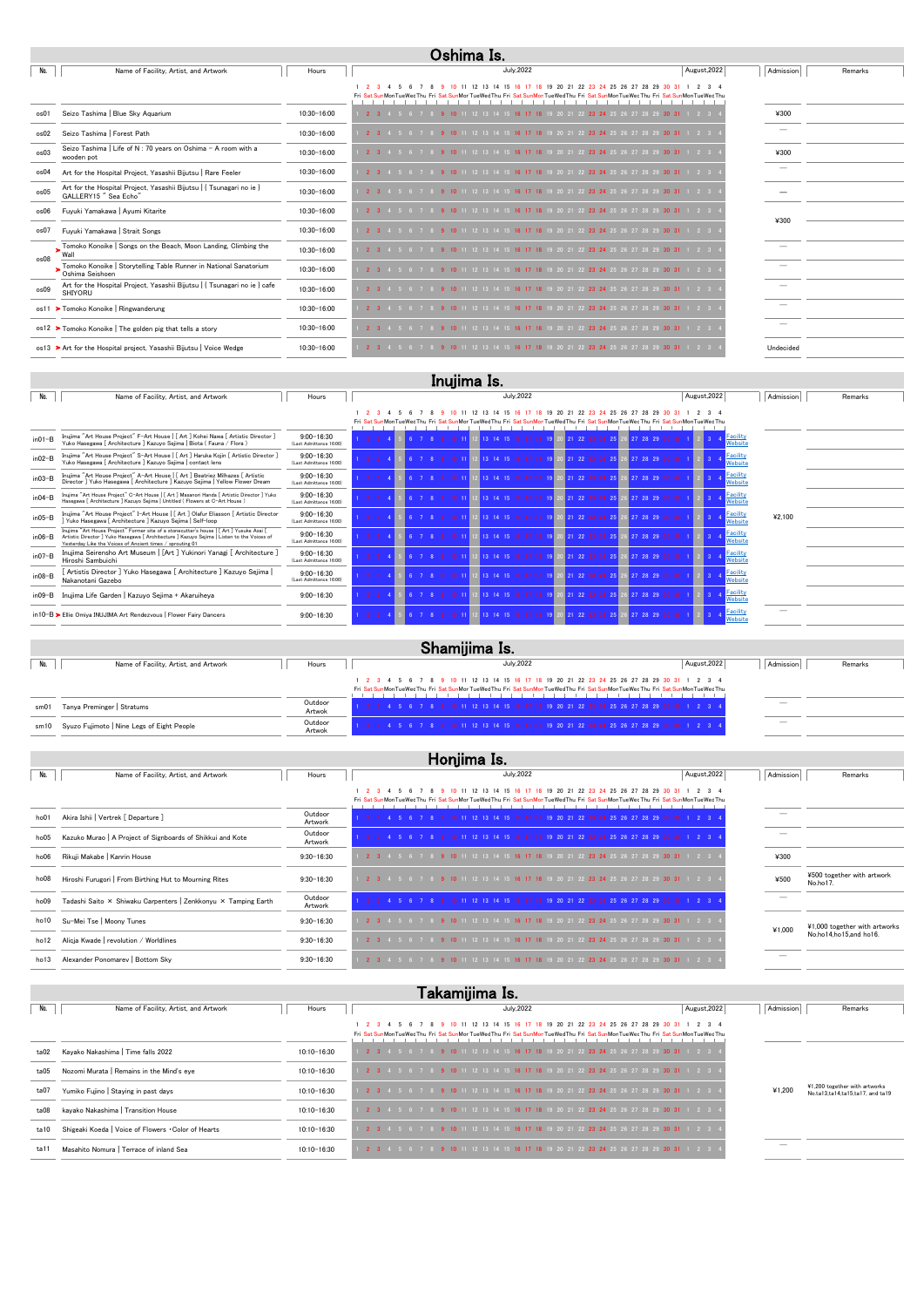| No.  | Name of Facility, Artist, and Artwork                                                        | Hours           | <b>July, 2022</b>                                                                                                                                                                                | August, 2022 | Admission | Remarks |  |  |  |
|------|----------------------------------------------------------------------------------------------|-----------------|--------------------------------------------------------------------------------------------------------------------------------------------------------------------------------------------------|--------------|-----------|---------|--|--|--|
|      |                                                                                              |                 | 12 13 14 15 16 17 18<br>19 20 21 22 23 24 25 26 27 28 29 30<br>10, 11<br>Fri Sat SunMonTueWedThu Fri Sat SunMorTueWedThu Fri Sat SunMonTueWedThu Fri Sat SunMonTueWedThu Fri Sat SunMonTueWedThu |              |           |         |  |  |  |
| os01 | Seizo Tashima   Blue Sky Aquarium                                                            | 10:30-16:00     | 4 5 6 7 8 9 10 11 12 13 14 15 16 17 18 19 20 21 22 23 24 25 26 27 28 29 30 31 1                                                                                                                  |              | ¥300      |         |  |  |  |
| os02 | Seizo Tashima   Forest Path                                                                  | 10:30-16:00     | 11 12 13 14 15 <b>16 17 18</b> 19 20 21 22 <b>23 24</b> 25 26 27 28 29 <b>30 31</b> 1 2 3                                                                                                        |              |           |         |  |  |  |
| os03 | Seizo Tashima   Life of N : 70 years on Oshima - A room with a<br>wooden pot                 | $10:30 - 16:00$ | 2 3 4 5 6 7 8 9 10 11 12 13 14 15 16 17 18 19 20 21 22 23 24 25 26 27 28 29 30 31 1 2 3                                                                                                          |              | ¥300      |         |  |  |  |
| os04 | Art for the Hospital Project, Yasashii Bijutsu   Rare Feeler                                 | 10:30-16:00     | 1 12 13 14 15 <b>16 17 18</b> 19 20 21 22 <b>23 24</b> 25 26 27 28 29 <b>30 31</b> 1 2 3                                                                                                         |              |           |         |  |  |  |
| os05 | Art for the Hospital Project, Yasashii Bijutsu   { Tsunagari no ie }<br>GALLERY15" Sea Echo" | $10:30 - 16:00$ | 2 3 4 5 6 7 8 9 10 11 12 13 14 15 16 17 18 19 20 21 22 23 24 25 26 27 28 29 30 31 1 2 3                                                                                                          |              |           |         |  |  |  |
| os06 | Fuyuki Yamakawa   Ayumi Kitarite                                                             | 10:30-16:00     | 7 8 9 10 11 12 13 14 15 16 17 18 19 20 21 22 23 24 25 26 27 28 29 30 31 1 2 3                                                                                                                    |              | ¥300      |         |  |  |  |
| os07 | Fuyuki Yamakawa   Strait Songs                                                               | 10:30-16:00     | 2 3 4 5 6 7 8 9 10 11 12 13 14 15 16 17 18 19 20 21 22 23 24 25 26 27 28 29 30 31 1 2 3                                                                                                          |              |           |         |  |  |  |
| os08 | Tomoko Konoike   Songs on the Beach, Moon Landing, Climbing the                              | 10:30-16:00     | 3 7 8 9 10 11 12 13 14 15 16 17 18 19 20 21 22 23 24 25 26 27 28 29 30 31 1 2 3                                                                                                                  |              |           |         |  |  |  |
|      | Tomoko Konoike   Storytelling Table Runner in National Sanatorium<br>Oshima Seishoen         | 10:30-16:00     | 2 3 4 5 6 7 8 9 10 11 12 13 14 15 16 17 18 19 20 21 22 23 24 25 26 27 28 29 30 31 1 2 3                                                                                                          |              |           |         |  |  |  |
| os09 | Art for the Hospital Project, Yasashii Bijutsu   { Tsunagari no ie } cafe<br>SHIYORU         | 10:30-16:00     | 9 10 11 12 13 14 15 16 17 18 19 20 21 22 23 24 25 26 27 28 29 30 31 1 2 3<br>$2 \t3 \t4 \t5$                                                                                                     |              |           |         |  |  |  |
|      | os11 > Tomoko Konoike   Ringwanderung                                                        | 10:30-16:00     | 6 7 8 9 10 11 12 13 14 15 16 17 18 19 20 21 22 23 24 25 26 27 28 29 30 31 1 2 3                                                                                                                  |              |           |         |  |  |  |
|      | $\circ$ Tomoko Konoike   The golden pig that tells a story                                   | 10:30-16:00     | 1 12 13 14 15 16 17 18 19 20 21 22 23 24 25 26 27 28 29 30 31                                                                                                                                    |              |           |         |  |  |  |
|      | os13 > Art for the Hospital project, Yasashii Bijutsu   Voice Wedge                          | 10:30-16:00     | 9 10 11 12 13 14 15 16 17 18 19 20 21 22 23 24 25 26 27 28 29 30 31 1 2 3                                                                                                                        |              | Undecided |         |  |  |  |

| No.         | Name of Facility, Artist, and Artwork                                                                                                                                                                                                               | Hours                                     | <b>July, 2022</b>                                                                                                       | August, 2022               | Admission | Remarks |
|-------------|-----------------------------------------------------------------------------------------------------------------------------------------------------------------------------------------------------------------------------------------------------|-------------------------------------------|-------------------------------------------------------------------------------------------------------------------------|----------------------------|-----------|---------|
|             |                                                                                                                                                                                                                                                     |                                           | 20 21 22 23 24 25 26 27 28<br>12 13 14 15 16                                                                            |                            |           |         |
|             |                                                                                                                                                                                                                                                     |                                           | Fri Sat SunMonTueWedThu Fri Sat SunMorTueWedThu Fri Sat SunMonTueWedThu Fri Sat SunMonTueWedThu Fri Sat SunMonTueWedThu |                            |           |         |
| $in01-B$    | Inujima "Art House Project" F-Art House   [ Art ] Kohei Nawa [ Artistic Director ]<br>Yuko Hasegawa [ Architecture ] Kazuyo Sejima   Biota ( Fauna / Flora )                                                                                        | $9:00 - 16:30$<br>(Last Admittance 16:00) | $21$ $22$ $23$ $24$ $25$                                                                                                | Facility<br>Website        |           |         |
| $in02-B$    | Inujima "Art House Project" S-Art House   [ Art ] Haruka Kojin [ Artistic Director ]<br>Yuko Hasegawa [ Architecture ] Kazuyo Sejima   contact lens                                                                                                 | $9:00 - 16:30$<br>(Last Admittance 16:00) |                                                                                                                         | Facility<br>Website        |           |         |
| $in 03 - B$ | Inujima "Art House Project" A-Art House   [ Art ] Beatriez Milhazes [ Artistic<br>Director ] Yuko Hasegawa [ Architecture ] Kazuyo Sejima   Yellow Flower Dream                                                                                     | $9:00 - 16:30$<br>(Last Admittance 16:00) |                                                                                                                         | <b>Facility</b><br>Website |           |         |
| $in04-B$    | Inujima "Art House Project" C-Art House   [ Art ] Masanori Handa [ Artistic Director ] Yuko<br>Hasegawa [ Architecture ] Kazuyo Sejima   Untitled ( Flowers at C-Art House )                                                                        | $9:00 - 16:30$<br>(Last Admittance 16:00) |                                                                                                                         | Facility<br>Website        |           |         |
| $in05-B$    | Inujima "Art House Project" I-Art House   [ Art ] Olafur Eliasson [ Artistic Director<br>Yuko Hasegawa [ Architecture ] Kazuyo Sejima   Self-loop                                                                                                   | $9:00 - 16:30$<br>(Last Admittance 16:00) | $22^{\circ}$                                                                                                            | <b>Facility</b><br>Website | ¥2.100    |         |
| $in06 - B$  | Inujima "Art House Project" Former site of a stonecutter's house   [ Art ] Yusuke Asai [<br>Artistic Director ] Yuko Hasegawa [ Architecture ] Kazuyo Sejima   Listen to the Voices of<br>Yesterday Like the Voices of Ancient times / sprouting 01 | $9:00 - 16:30$<br>(Last Admittance 16:00) | 21, 22                                                                                                                  | <b>Facility</b><br>Website |           |         |
| $in07-B$    | Inujima Seirensho Art Museum   [Art ] Yukinori Yanagi [ Architecture ]<br>Hiroshi Sambuichi                                                                                                                                                         | $9:00 - 16:30$<br>(Last Admittance 16:00) |                                                                                                                         | <b>Facility</b><br>Website |           |         |
| $in 08 - B$ | [ Artistis Director ] Yuko Hasegawa [ Architecture ] Kazuyo Sejima  <br>Nakanotani Gazebo                                                                                                                                                           | $9:00 - 16:30$<br>(Last Admittance 16:00) |                                                                                                                         | Facility<br>Website        |           |         |
| $in09 - B$  | Inujima Life Garden   Kazuyo Sejima + Akaruiheya                                                                                                                                                                                                    | $9:00 - 16:30$                            |                                                                                                                         | Facility<br>Website        |           |         |
|             | in10-B > Ellie Omiya INUJIMA Art Rendezvous   Flower Fairy Dancers                                                                                                                                                                                  | $9:00 - 16:30$                            |                                                                                                                         | <b>Facility</b><br>Website |           |         |

|      | Shamijima Is.                              |                   |                                                                                                                                                                                                                        |              |                          |         |  |  |
|------|--------------------------------------------|-------------------|------------------------------------------------------------------------------------------------------------------------------------------------------------------------------------------------------------------------|--------------|--------------------------|---------|--|--|
|      | Name of Facility, Artist, and Artwork      | Hours             | July, 2022                                                                                                                                                                                                             | August, 2022 | Admission                | Remarks |  |  |
|      |                                            |                   | 1 2 3 4 5 6 7 8 9 10 11 12 13 14 15 16 17 18 19 20 21 22 23 24 25 26 27 28 29 30 31 1 2 3 4<br>Fri Sat SunMonTueWedThu Fri Sat SunMorTueWedThu Fri Sat SunMonTueWedThu Fri Sat SunMonTueWedThu Fri Sat SunMonTueWedThu |              |                          |         |  |  |
| sm01 | Tanya Preminger   Stratums                 | Outdoor<br>Artwok | 6 7 8 9 10 11 12 13 14 15 16 17 18 19 20 21 22 23 24 25 26 27 28 29 30 31 1 2 3 4                                                                                                                                      |              |                          |         |  |  |
| sm10 | Syuzo Fujimoto   Nine Legs of Eight People | Outdoor<br>Artwok | 9 10 11 12 13 14 15 16 17 18 19 20 21 22 23 24 25 26 27 28 29 30 31 1 2 3 4                                                                                                                                            |              | $\overline{\phantom{a}}$ |         |  |  |

|                  | Honjima Is.                                                    |                    |                                                                                                                                                                                        |              |           |                                        |  |  |
|------------------|----------------------------------------------------------------|--------------------|----------------------------------------------------------------------------------------------------------------------------------------------------------------------------------------|--------------|-----------|----------------------------------------|--|--|
| No.              | Name of Facility, Artist, and Artwork                          | Hours              | <b>July, 2022</b>                                                                                                                                                                      | August, 2022 | Admission | Remarks                                |  |  |
|                  |                                                                |                    | 10 11 12 13 14 15 16 17 18 19 20 21 22 23 24 25 26 27 28 29<br>Fri Sat SunMonTueWedThu Fri Sat SunMorTueWedThu Fri Sat SunMonTueWedThu Fri Sat SunMonTueWedThu Fri Sat SunMonTueWedThu | 2 3 4        |           |                                        |  |  |
| ho01             | Akira Ishii   Vertrek [ Departure ]                            | Outdoor<br>Artwork | 4 5 6 7 8 9 10 11 12 13 14 15 16 17 18 19 20 21 22 23 24 25 26 27 28 29 30 31 1 2 3 4                                                                                                  |              |           |                                        |  |  |
| ho05             | Kazuko Murao   A Project of Signboards of Shikkui and Kote     | Outdoor<br>Artwork | 2 3 4 5 6 7 8 9 10 11 12 13 14 15 16 17 18 19 20 21 22 23 24 25 26 27 28 29 30 31 1 2 3                                                                                                |              |           |                                        |  |  |
| ho06             | Rikuji Makabe   Kanrin House                                   | $9:30 - 16:30$     | 14 15 16 17 18 19 20 21 22 23 24 25 26 27 28 29 3                                                                                                                                      |              | ¥300      |                                        |  |  |
| ho08             | Hiroshi Furugori   From Birthing Hut to Mourning Rites         | $9:30 - 16:30$     | 12 13 14 15 16 17 18 19 20 21 22 23 24 25 26 27 28 29 30 31 1 2 3                                                                                                                      |              | ¥500      | ¥500 together with artwork<br>No.ho17. |  |  |
| ho <sub>09</sub> | Tadashi Saito × Shiwaku Carpenters   Zenkkonyu × Tamping Earth | Outdoor<br>Artwork | 10 11 12 13 14 15 16 17 18 19 20 21 22 23 24 25 26 27 28 29 30 31 1 2 3                                                                                                                |              |           |                                        |  |  |
| ho10             | Su-Mei Tse   Moony Tunes                                       | $9:30 - 16:30$     | 14 15 16 17 18 19 20 21 22 23 24 25 26 27 28 29 30 31                                                                                                                                  |              | ¥1,000    | ¥1,000 together with artworks          |  |  |
| ho12             | Alicja Kwade   revolution / Worldlines                         | $9:30 - 16:30$     | 2 3 4 5 6 7 8 9 10 11 12 13 14 15 16 17 18 19 20 21 22 23 24 25 26 27 28 29 30 31 1 2 3                                                                                                |              |           | No.ho14,ho15,and ho16.                 |  |  |
| ho13             | Alexander Ponomarev   Bottom Sky                               | $9:30 - 16:30$     | 9 20 21 22 23 24 25 26 27 28 29 30 31                                                                                                                                                  |              |           |                                        |  |  |

| No.  | Name of Facility, Artist, and Artwork               | Hours       | July, 2022                                                                                                                                                                                         | August, 2022          | Admission | Remarks                                                           |
|------|-----------------------------------------------------|-------------|----------------------------------------------------------------------------------------------------------------------------------------------------------------------------------------------------|-----------------------|-----------|-------------------------------------------------------------------|
|      |                                                     |             | 8 9 10 11 12 13 14 15 16 17 18 19 20 21 22 23 24 25 26 27 28 29 30 31 1<br>Fri Sat SunMonTueWedThu Fri Sat SunMorTueWedThu Fri Sat SunMonTueWedThu Fri Sat SunMonTueWedThu Fri Sat SunMonTueWedThu | 2 3 4                 |           |                                                                   |
| ta02 | Kayako Nakashima   Time falls 2022                  | 10:10-16:30 | 5 6 7 8 9 10 11 12 13 14 15 16 17 18 19 20 21 22 23 24 25 26 27 28 29 30 31 1 2 3 4<br>$2 \t3 \t4$                                                                                                 |                       |           |                                                                   |
| ta05 | Nozomi Murata   Remains in the Mind's eye           | 10:10-16:30 | 2 3 4 5 6 7 8 9 10 11 12 13 14 15 16 17 18 19 20 21 22 23 24 25 26 27 28 29 30 31 1 2 3 4                                                                                                          |                       |           |                                                                   |
| ta07 | Yumiko Fujino   Staying in past days                | 10:10-16:30 | 2  3  4  5  6  7  8  9 10 11 12 13 14 15 16 17 18 19 20 21 22 23 24 25 26 27 28 29 30 31 1 2 3 4                                                                                                   |                       | ¥1,200    | ¥1,200 together with artworks<br>No.ta13.ta14.ta15.ta17. and ta19 |
| ta08 | kayako Nakashima   Transition House                 | 10:10-16:30 | 2 3 4 5 6 7 8 9 10 11 12 13 14 15 16 17 18 19 20 21 22 23 24 25 26 27 28 29 30 31 1 2 3 4                                                                                                          |                       |           |                                                                   |
| ta10 | Shigeaki Koeda   Voice of Flowers . Color of Hearts | 10:10-16:30 | 2 3 4 5 6 7 8 9 10 11 12 13 14 15 16 17 18 19 20 21 22 23 24 25 26 27 28 29 30 31 1 2 3 4                                                                                                          |                       |           |                                                                   |
| ta11 | Masahito Nomura   Terrace of inland Sea             | 10:10-16:30 | 10 11 12 13 14 15 16 17 18 19 20 21 22 23 24 25 26 27 28                                                                                                                                           | $30 \t31 \t1 \t2 \t3$ |           |                                                                   |

## Oshima Is.

# Inujima Is.

#### Takamijima Is.